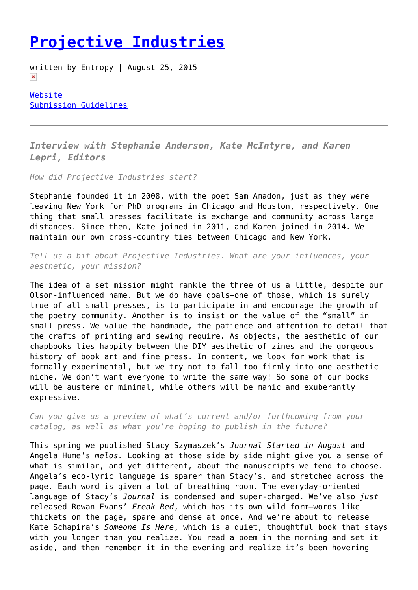## **[Projective Industries](https://entropymag.org/projective-industries/)**

written by Entropy | August 25, 2015  $\pmb{\times}$ 

[Website](http://projectiveindustries.com/) [Submission Guidelines](http://projectiveindustries.com/)

*Interview with Stephanie Anderson, Kate McIntyre, and Karen Lepri, Editors*

*How did Projective Industries start?*

Stephanie founded it in 2008, with the poet Sam Amadon, just as they were leaving New York for PhD programs in Chicago and Houston, respectively. One thing that small presses facilitate is exchange and community across large distances. Since then, Kate joined in 2011, and Karen joined in 2014. We maintain our own cross-country ties between Chicago and New York.

*Tell us a bit about Projective Industries. What are your influences, your aesthetic, your mission?*

The idea of a set mission might rankle the three of us a little, despite our Olson-influenced name. But we do have goals—one of those, which is surely true of all small presses, is to participate in and encourage the growth of the poetry community. Another is to insist on the value of the "small" in small press. We value the handmade, the patience and attention to detail that the crafts of printing and sewing require. As objects, the aesthetic of our chapbooks lies happily between the DIY aesthetic of zines and the gorgeous history of book art and fine press. In content, we look for work that is formally experimental, but we try not to fall too firmly into one aesthetic niche. We don't want everyone to write the same way! So some of our books will be austere or minimal, while others will be manic and exuberantly expressive.

*Can you give us a preview of what's current and/or forthcoming from your catalog, as well as what you're hoping to publish in the future?*

This spring we published Stacy Szymaszek's *Journal Started in August* and Angela Hume's *melos.* Looking at those side by side might give you a sense of what is similar, and yet different, about the manuscripts we tend to choose. Angela's eco-lyric language is sparer than Stacy's, and stretched across the page. Each word is given a lot of breathing room. The everyday-oriented language of Stacy's *Journal* is condensed and super-charged. We've also *just* released Rowan Evans' *Freak Red*, which has its own wild form—words like thickets on the page, spare and dense at once. And we're about to release Kate Schapira's *Someone Is Here*, which is a quiet, thoughtful book that stays with you longer than you realize. You read a poem in the morning and set it aside, and then remember it in the evening and realize it's been hovering